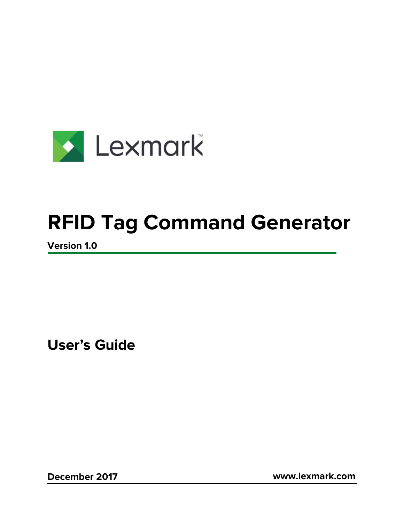

# **RFID Tag Command Generator**

**Version 1.0** 

**User's Guide**

**December 2017 www.lexmark.com**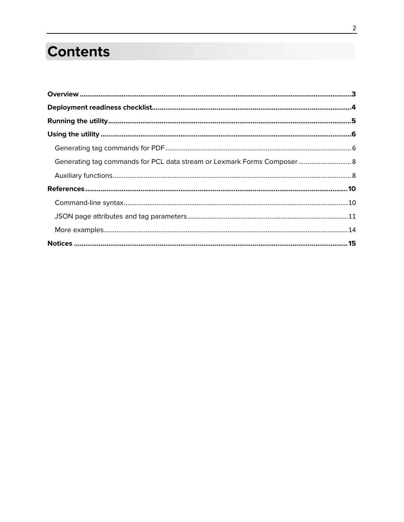## **Contents**

| Generating tag commands for PCL data stream or Lexmark Forms Composer 8 |  |
|-------------------------------------------------------------------------|--|
|                                                                         |  |
|                                                                         |  |
|                                                                         |  |
|                                                                         |  |
|                                                                         |  |
|                                                                         |  |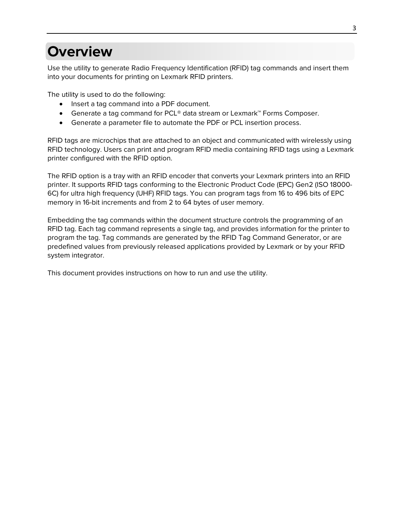## <span id="page-2-0"></span>**Overview**

Use the utility to generate Radio Frequency Identification (RFID) tag commands and insert them into your documents for printing on Lexmark RFID printers.

The utility is used to do the following:

- Insert a tag command into a PDF document.
- Generate a tag command for PCL® data stream or Lexmark™ Forms Composer.
- Generate a parameter file to automate the PDF or PCL insertion process.

RFID tags are microchips that are attached to an object and communicated with wirelessly using RFID technology. Users can print and program RFID media containing RFID tags using a Lexmark printer configured with the RFID option.

The RFID option is a tray with an RFID encoder that converts your Lexmark printers into an RFID printer. It supports RFID tags conforming to the Electronic Product Code (EPC) Gen2 (ISO 18000- 6C) for ultra high frequency (UHF) RFID tags. You can program tags from 16 to 496 bits of EPC memory in 16-bit increments and from 2 to 64 bytes of user memory.

Embedding the tag commands within the document structure controls the programming of an RFID tag. Each tag command represents a single tag, and provides information for the printer to program the tag. Tag commands are generated by the RFID Tag Command Generator, or are predefined values from previously released applications provided by Lexmark or by your RFID system integrator.

This document provides instructions on how to run and use the utility.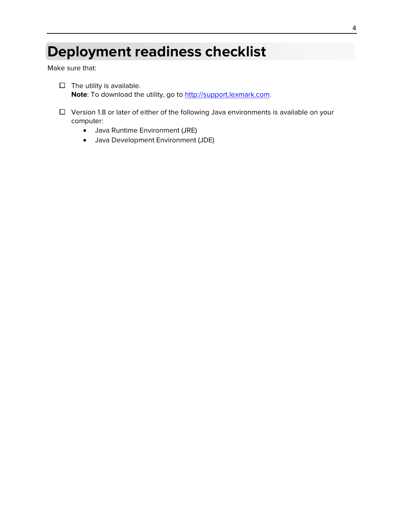## <span id="page-3-0"></span>**Deployment readiness checklist**

Make sure that:

- $\Box$  The utility is available. **Note**: To download the utility, go to [http://support.lexmark.com.](http://support.lexmark.com/)
- $\Box$  Version 1.8 or later of either of the following Java environments is available on your computer:
	- Java Runtime Environment (JRE)
	- Java Development Environment (JDE)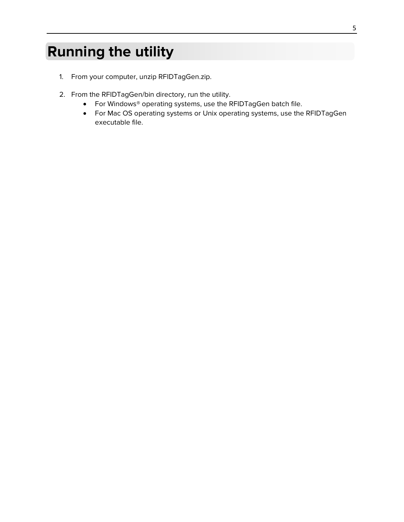## <span id="page-4-0"></span>**Running the utility**

- 1. From your computer, unzip RFIDTagGen.zip.
- 2. From the RFIDTagGen/bin directory, run the utility.
	- For Windows® operating systems, use the RFIDTagGen batch file.
	- For Mac OS operating systems or Unix operating systems, use the RFIDTagGen executable file.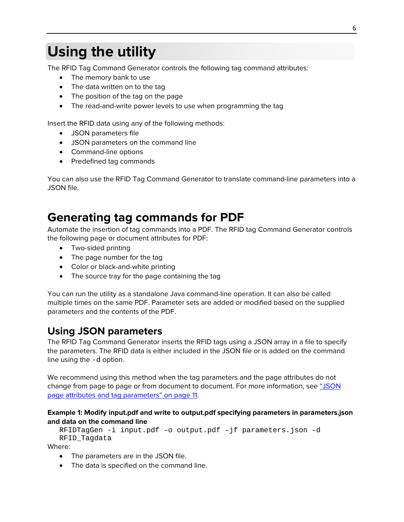## <span id="page-5-0"></span>**Using the utility**

The RFID Tag Command Generator controls the following tag command attributes:

- The memory bank to use
- The data written on to the tag
- The position of the tag on the page
- The read-and-write power levels to use when programming the tag

Insert the RFID data using any of the following methods:

- JSON parameters file
- JSON parameters on the command line
- Command-line options
- Predefined tag commands

You can also use the RFID Tag Command Generator to translate command-line parameters into a JSON file.

### <span id="page-5-1"></span>**Generating tag commands for PDF**

Automate the insertion of tag commands into a PDF. The RFID tag Command Generator controls the following page or document attributes for PDF:

- Two-sided printing
- The page number for the tag
- Color or black-and-white printing
- The source tray for the page containing the tag

You can run the utility as a standalone Java command-line operation. It can also be called multiple times on the same PDF. Parameter sets are added or modified based on the supplied parameters and the contents of the PDF.

### **Using JSON parameters**

The RFID Tag Command Generator inserts the RFID tags using a JSON array in a file to specify the parameters. The RFID data is either included in the JSON file or is added on the command line using the -d option.

We recommend using this method when the tag parameters and the page attributes do not change from page to page or from document to document. For more information, see "JSON [page attributes and tag parameters" on](#page-10-0) page 11.

#### **Example 1: Modify input.pdf and write to output.pdf specifying parameters in parameters.json and data on the command line**

```
RFIDTagGen -i input.pdf –o output.pdf –jf parameters.json –d 
RFID_Tagdata
```
Where:

- The parameters are in the JSON file.
- The data is specified on the command line.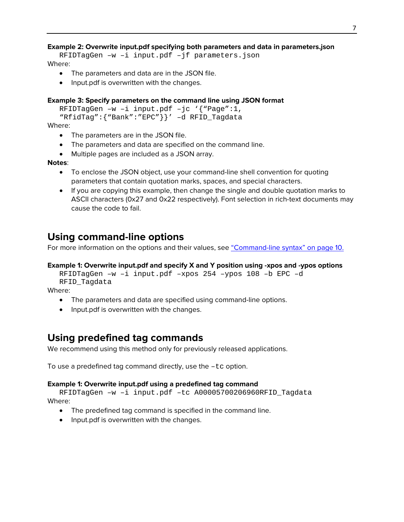#### **Example 2: Overwrite input.pdf specifying both parameters and data in parameters.json**

```
RFIDTagGen –w –i input.pdf –jf parameters.json
Where:
```
- The parameters and data are in the JSON file.
- Input.pdf is overwritten with the changes.

#### **Example 3: Specify parameters on the command line using JSON format**

```
RFIDTagGen –w –i input.pdf –jc '{"Page":1, 
"RfidTag":{"Bank":"EPC"}}' –d RFID_Tagdata
```
Where:

- The parameters are in the JSON file.
- The parameters and data are specified on the command line.
- Multiple pages are included as a JSON array.

#### **Notes**:

- To enclose the JSON object, use your command-line shell convention for quoting parameters that contain quotation marks, spaces, and special characters.
- If you are copying this example, then change the single and double quotation marks to ASCII characters (0x27 and 0x22 respectively). Font selection in rich-text documents may cause the code to fail.

#### **Using command-line options**

For more information on the options and their values, see ["Command-line syntax" on page 10.](#page-9-1)

#### **Example 1: Overwrite input.pdf and specify X and Y position using -xpos and -ypos options**

RFIDTagGen –w –i input.pdf –xpos 254 –ypos 108 –b EPC –d RFID\_Tagdata

Where:

- The parameters and data are specified using command-line options.
- Input.pdf is overwritten with the changes.

#### **Using predefined tag commands**

We recommend using this method only for previously released applications.

To use a predefined tag command directly, use the –tc option.

#### **Example 1: Overwrite input.pdf using a predefined tag command**

RFIDTagGen –w –i input.pdf –tc A00005700206960RFID\_Tagdata Where:

- The predefined tag command is specified in the command line.
- Input.pdf is overwritten with the changes.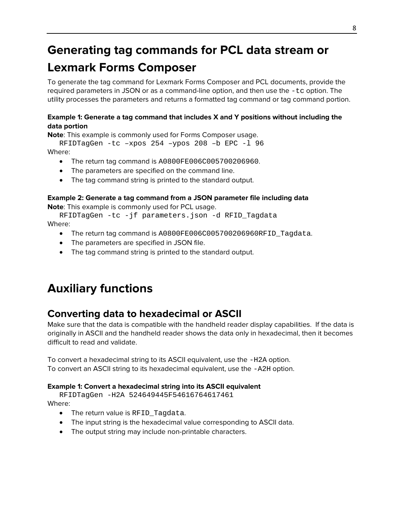## <span id="page-7-0"></span>**Generating tag commands for PCL data stream or**

## **Lexmark Forms Composer**

To generate the tag command for Lexmark Forms Composer and PCL documents, provide the required parameters in JSON or as a command-line option, and then use the -tc option. The utility processes the parameters and returns a formatted tag command or tag command portion.

#### **Example 1: Generate a tag command that includes X and Y positions without including the data portion**

**Note**: This example is commonly used for Forms Composer usage.

RFIDTagGen -tc –xpos 254 –ypos 208 –b EPC -l 96 Where:

- The return tag command is A0800FE006C005700206960.
- The parameters are specified on the command line.
- The tag command string is printed to the standard output.

#### **Example 2: Generate a tag command from a JSON parameter file including data**

**Note**: This example is commonly used for PCL usage.

RFIDTagGen -tc -jf parameters.json -d RFID\_Tagdata Where:

- The return tag command is A0800FE006C005700206960RFID\_Tagdata.
- The parameters are specified in JSON file.
- The tag command string is printed to the standard output.

## <span id="page-7-1"></span>**Auxiliary functions**

### **Converting data to hexadecimal or ASCII**

Make sure that the data is compatible with the handheld reader display capabilities. If the data is originally in ASCII and the handheld reader shows the data only in hexadecimal, then it becomes difficult to read and validate.

To convert a hexadecimal string to its ASCII equivalent, use the -H2A option. To convert an ASCII string to its hexadecimal equivalent, use the -A2H option.

#### **Example 1: Convert a hexadecimal string into its ASCII equivalent**

RFIDTagGen -H2A 524649445F54616764617461 Where:

- The return value is RFID\_Tagdata.
- The input string is the hexadecimal value corresponding to ASCII data.
- The output string may include non-printable characters.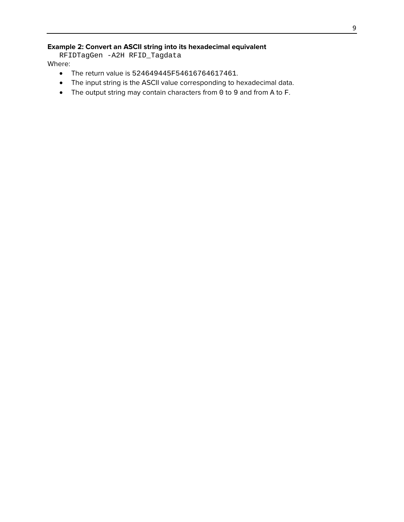#### **Example 2: Convert an ASCII string into its hexadecimal equivalent**

RFIDTagGen -A2H RFID\_Tagdata

Where:

- The return value is 524649445F54616764617461.
- The input string is the ASCII value corresponding to hexadecimal data.
- The output string may contain characters from 0 to 9 and from A to F.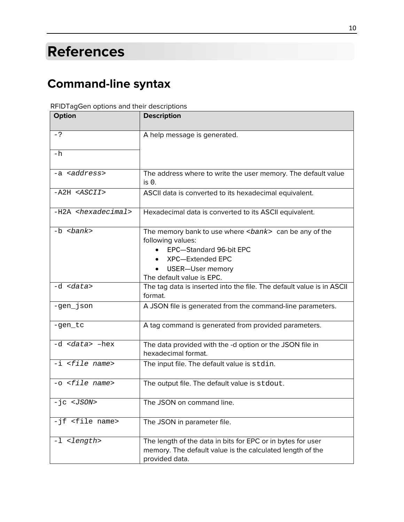## <span id="page-9-0"></span>**References**

## <span id="page-9-1"></span>**Command-line syntax**

| Option                           | <b>Description</b>                                                                                 |
|----------------------------------|----------------------------------------------------------------------------------------------------|
| $-?$                             | A help message is generated.                                                                       |
| -h                               |                                                                                                    |
| -a <address></address>           | The address where to write the user memory. The default value<br>$is0$ .                           |
| $- A2H < ASCII$                  | ASCII data is converted to its hexadecimal equivalent.                                             |
| -H2A <hexadecimal></hexadecimal> | Hexadecimal data is converted to its ASCII equivalent.                                             |
| $-b \; bank$                     | The memory bank to use where <bank> can be any of the<br/>following values:</bank>                 |
|                                  | EPC-Standard 96-bit EPC                                                                            |
|                                  | XPC-Extended EPC                                                                                   |
|                                  | USER-User memory                                                                                   |
| -d <data></data>                 | The default value is EPC.<br>The tag data is inserted into the file. The default value is in ASCII |
|                                  | format.                                                                                            |
| -gen_json                        | A JSON file is generated from the command-line parameters.                                         |
| -gen_tc                          | A tag command is generated from provided parameters.                                               |
| -d <data> -hex</data>            | The data provided with the -d option or the JSON file in<br>hexadecimal format.                    |
| $-i$ <file name=""></file>       | The input file. The default value is stdin.                                                        |
| -o <file name=""></file>         | The output file. The default value is stdout.                                                      |
| $-ic < JSON$                     | The JSON on command line.                                                                          |
| -jf <file name=""></file>        | The JSON in parameter file.                                                                        |
| -1 <length></length>             | The length of the data in bits for EPC or in bytes for user                                        |
|                                  | memory. The default value is the calculated length of the                                          |
|                                  | provided data.                                                                                     |

#### RFIDTagGen options and their descriptions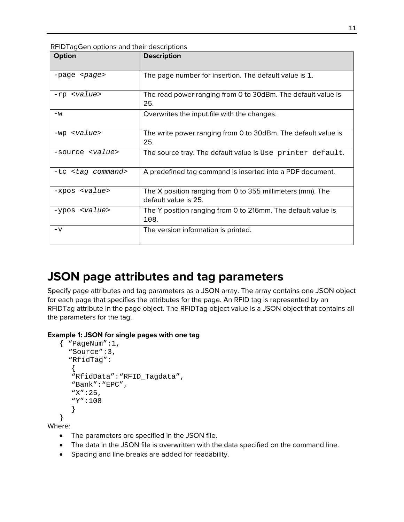| Option                     | <b>Description</b>                                                                 |
|----------------------------|------------------------------------------------------------------------------------|
| $-paqe$ $-paqe$            | The page number for insertion. The default value is 1.                             |
| -rp <value></value>        | The read power ranging from 0 to 30dBm. The default value is<br>25.                |
| $-w$                       | Overwrites the input.file with the changes.                                        |
| $-wp$ $\langle$ value>     | The write power ranging from 0 to 30dBm. The default value is<br>25.               |
| -source <value></value>    | The source tray. The default value is Use printer default.                         |
| -tc <tag command=""></tag> | A predefined tag command is inserted into a PDF document.                          |
| -xpos <value></value>      | The X position ranging from 0 to 355 millimeters (mm). The<br>default value is 25. |
| -ypos <value></value>      | The Y position ranging from 0 to 216mm. The default value is<br>108.               |
| $-\nabla$                  | The version information is printed.                                                |

RFIDTagGen options and their descriptions

### <span id="page-10-0"></span>**JSON page attributes and tag parameters**

Specify page attributes and tag parameters as a JSON array. The array contains one JSON object for each page that specifies the attributes for the page. An RFID tag is represented by an RFIDTag attribute in the page object. The RFIDTag object value is a JSON object that contains all the parameters for the tag.

#### **Example 1: JSON for single pages with one tag**

```
{ "PageNum":1,
  "Source":3,
  "RfidTag":
  {
  "RfidData":"RFID_Tagdata",
  "Bank":"EPC",
  "X":25,
  "Y":108
  }
}
```
Where:

- The parameters are specified in the JSON file.
- The data in the JSON file is overwritten with the data specified on the command line.
- Spacing and line breaks are added for readability.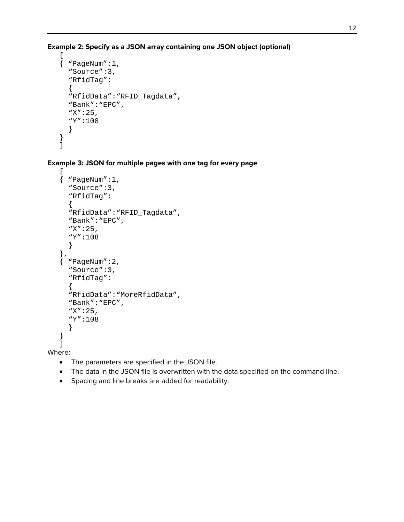**Example 2: Specify as a JSON array containing one JSON object (optional)**

```
\Gamma{ "PageNum":1,
  "Source":3,
  "RfidTag":
  {
  "RfidData":"RFID_Tagdata",
  "Bank":"EPC",
  "X":25,
  "Y":108
  }
}
]
```
**Example 3: JSON for multiple pages with one tag for every page**

```
{ "PageNum":1,
  "Source":3,
  "RfidTag":
  \{"RfidData":"RFID_Tagdata",
  "Bank":"EPC",
  "X":25,
  "Y":108
  }
},
 { "PageNum":2,
  "Source":3,
  "RfidTag":
  {
  "RfidData":"MoreRfidData",
  "Bank":"EPC",
  "X":25,
  "Y":108
  }
}
]
```
Where:

 $\Gamma$ 

- The parameters are specified in the JSON file.
- The data in the JSON file is overwritten with the data specified on the command line.
- Spacing and line breaks are added for readability.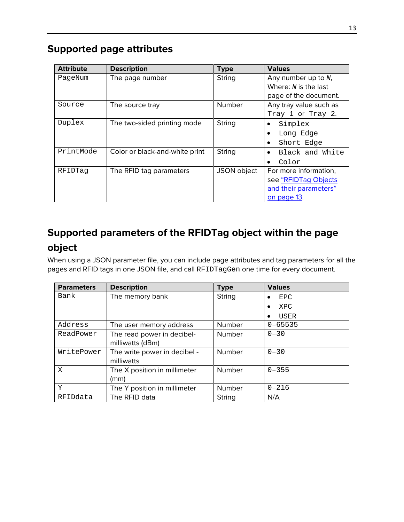### **Supported page attributes**

| <b>Attribute</b> | <b>Description</b>             | <b>Type</b>   | <b>Values</b>                |
|------------------|--------------------------------|---------------|------------------------------|
| PageNum          | The page number                | <b>String</b> | Any number up to $N$ ,       |
|                  |                                |               | Where: $N$ is the last       |
|                  |                                |               | page of the document.        |
| Source           | The source tray                | <b>Number</b> | Any tray value such as       |
|                  |                                |               | Tray 1 or Tray 2.            |
| Duplex           | The two-sided printing mode    | String        | Simplex<br>٠                 |
|                  |                                |               | Long Edge<br>$\bullet$       |
|                  |                                |               | Short Edge                   |
| PrintMode        | Color or black-and-white print | <b>String</b> | Black and White<br>$\bullet$ |
|                  |                                |               | Color                        |
| RFIDTag          | The RFID tag parameters        | JSON object   | For more information,        |
|                  |                                |               | see "RFIDTag Objects         |
|                  |                                |               | and their parameters"        |
|                  |                                |               | on page 13.                  |

## <span id="page-12-0"></span>**Supported parameters of the RFIDTag object within the page object**

When using a JSON parameter file, you can include page attributes and tag parameters for all the pages and RFID tags in one JSON file, and call RFIDTagGen one time for every document.

| <b>Parameters</b> | <b>Description</b>           | <b>Type</b>   | <b>Values</b>           |
|-------------------|------------------------------|---------------|-------------------------|
| Bank              | The memory bank              | <b>String</b> | <b>EPC</b>              |
|                   |                              |               | <b>XPC</b><br>$\bullet$ |
|                   |                              |               | USER<br>٠               |
| Address           | The user memory address      | <b>Number</b> | $0 - 65535$             |
| ReadPower         | The read power in decibel-   | <b>Number</b> | $0 - 30$                |
|                   | milliwatts (dBm)             |               |                         |
| WritePower        | The write power in decibel - | <b>Number</b> | $0 - 30$                |
|                   | milliwatts                   |               |                         |
| X                 | The X position in millimeter | Number        | $0 - 355$               |
|                   | (mm)                         |               |                         |
| Y                 | The Y position in millimeter | <b>Number</b> | $0 - 216$               |
| RFIDdata          | The RFID data                | String        | N/A                     |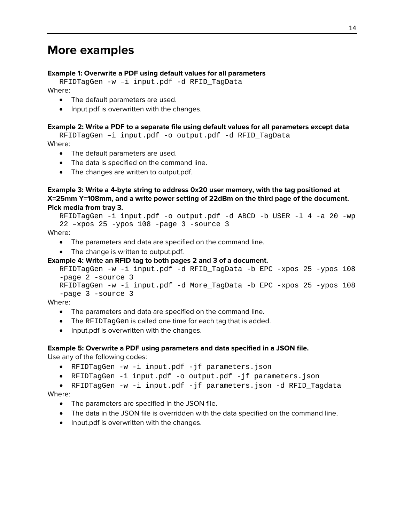### <span id="page-13-0"></span>**More examples**

#### **Example 1: Overwrite a PDF using default values for all parameters**

RFIDTagGen -w –i input.pdf -d RFID\_TagData Where:

- The default parameters are used.
- Input.pdf is overwritten with the changes.

#### **Example 2: Write a PDF to a separate file using default values for all parameters except data**

RFIDTagGen –i input.pdf -o output.pdf -d RFID\_TagData Where:

- The default parameters are used.
- The data is specified on the command line.
- The changes are written to output.pdf.

#### **Example 3: Write a 4-byte string to address 0x20 user memory, with the tag positioned at X=25mm Y=108mm, and a write power setting of 22dBm on the third page of the document. Pick media from tray 3.**

```
RFIDTagGen -i input.pdf -o output.pdf -d ABCD -b USER -l 4 -a 20 -wp 
22 –xpos 25 -ypos 108 -page 3 -source 3
```
Where:

- The parameters and data are specified on the command line.
- The change is written to output.pdf.

#### **Example 4: Write an RFID tag to both pages 2 and 3 of a document.**

```
RFIDTagGen -w -i input.pdf -d RFID_TagData -b EPC -xpos 25 -ypos 108 
-page 2 -source 3
RFIDTagGen -w -i input.pdf -d More_TagData -b EPC -xpos 25 -ypos 108 
-page 3 -source 3
```
Where:

- The parameters and data are specified on the command line.
- The RFIDTagGen is called one time for each tag that is added.
- Input.pdf is overwritten with the changes.

## **Example 5: Overwrite a PDF using parameters and data specified in a JSON file.**

Use any of the following codes:

- RFIDTagGen -w -i input.pdf -jf parameters.json
- RFIDTagGen -i input.pdf -o output.pdf -jf parameters.json

• RFIDTagGen -w -i input.pdf -jf parameters.json -d RFID\_Tagdata Where:

- The parameters are specified in the JSON file.
- The data in the JSON file is overridden with the data specified on the command line.
- Input.pdf is overwritten with the changes.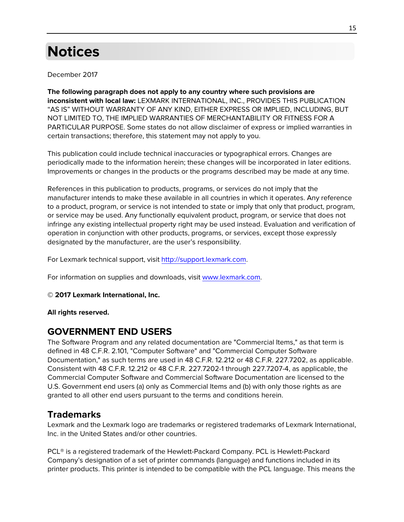## <span id="page-14-0"></span>**Notices**

December 2017

**The following paragraph does not apply to any country where such provisions are inconsistent with local law:** LEXMARK INTERNATIONAL, INC., PROVIDES THIS PUBLICATION "AS IS" WITHOUT WARRANTY OF ANY KIND, EITHER EXPRESS OR IMPLIED, INCLUDING, BUT NOT LIMITED TO, THE IMPLIED WARRANTIES OF MERCHANTABILITY OR FITNESS FOR A PARTICULAR PURPOSE. Some states do not allow disclaimer of express or implied warranties in certain transactions; therefore, this statement may not apply to you.

This publication could include technical inaccuracies or typographical errors. Changes are periodically made to the information herein; these changes will be incorporated in later editions. Improvements or changes in the products or the programs described may be made at any time.

References in this publication to products, programs, or services do not imply that the manufacturer intends to make these available in all countries in which it operates. Any reference to a product, program, or service is not intended to state or imply that only that product, program, or service may be used. Any functionally equivalent product, program, or service that does not infringe any existing intellectual property right may be used instead. Evaluation and verification of operation in conjunction with other products, programs, or services, except those expressly designated by the manufacturer, are the user's responsibility.

For Lexmark technical support, visit [http://support.lexmark.com.](http://support.lexmark.com/)

For information on supplies and downloads, visit [www.lexmark.com.](http://www.lexmark.com/)

#### **© 2017 Lexmark International, Inc.**

**All rights reserved.**

### **GOVERNMENT END USERS**

The Software Program and any related documentation are "Commercial Items," as that term is defined in 48 C.F.R. 2.101, "Computer Software" and "Commercial Computer Software Documentation," as such terms are used in 48 C.F.R. 12.212 or 48 C.F.R. 227.7202, as applicable. Consistent with 48 C.F.R. 12.212 or 48 C.F.R. 227.7202-1 through 227.7207-4, as applicable, the Commercial Computer Software and Commercial Software Documentation are licensed to the U.S. Government end users (a) only as Commercial Items and (b) with only those rights as are granted to all other end users pursuant to the terms and conditions herein.

#### **Trademarks**

Lexmark and the Lexmark logo are trademarks or registered trademarks of Lexmark International, Inc. in the United States and/or other countries.

PCL® is a registered trademark of the Hewlett-Packard Company. PCL is Hewlett-Packard Company's designation of a set of printer commands (language) and functions included in its printer products. This printer is intended to be compatible with the PCL language. This means the